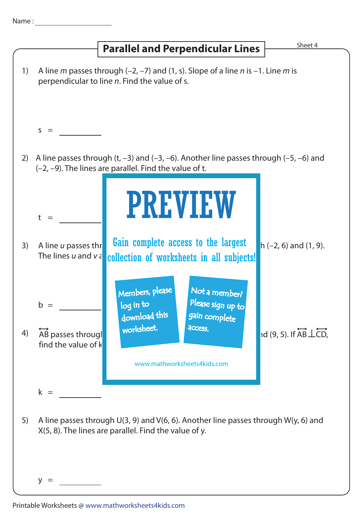